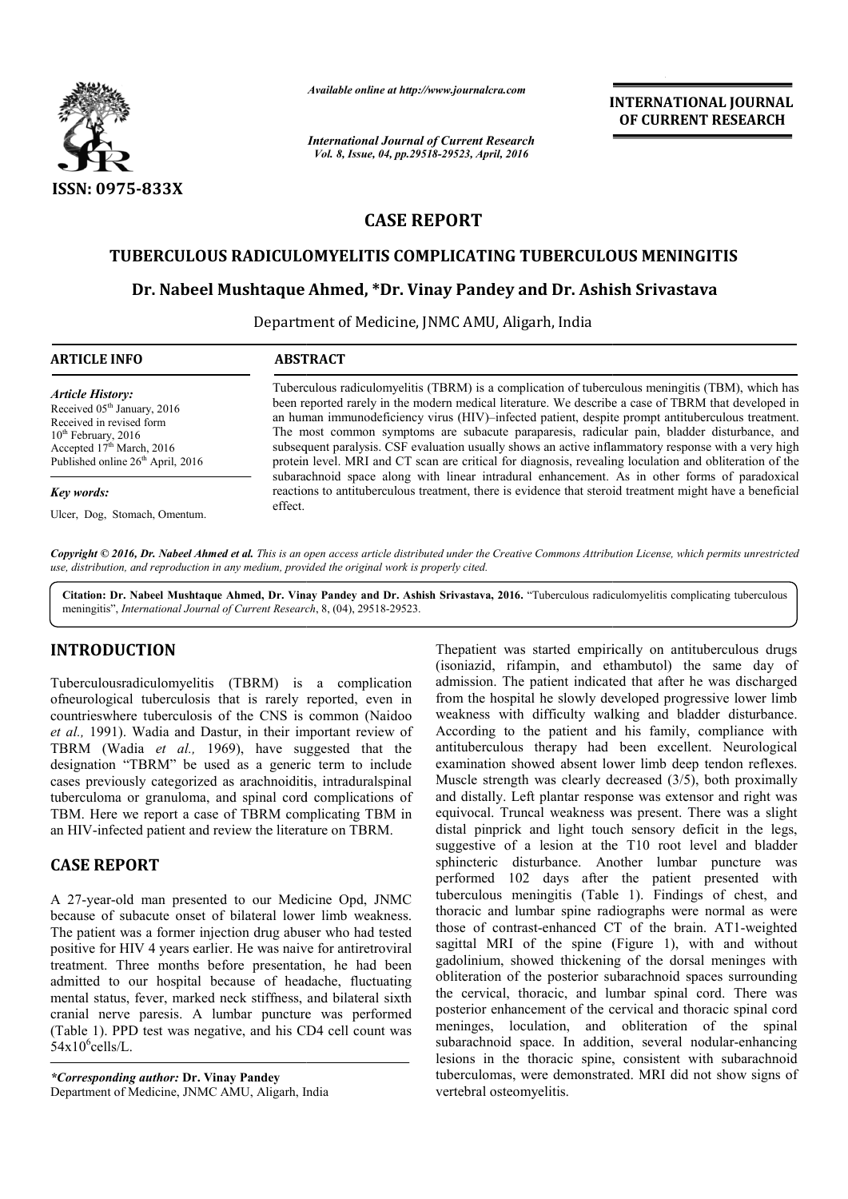

*Available online at http://www.journalcra.com*

*International Journal of Current Research Vol. 8, Issue, 04, pp.29518-29523, April, 2016*

**INTERNATIONAL JOURNAL OF CURRENT RESEARCH** 

# **CASE REPORT**

## **TUBERCULOUS RADICULOMYELITIS COMPLICATING TUBERCULOUS MENINGITIS**

#### **Dr. Nabeel Mushtaque . Ahmed, \*Dr. Vinay Pandey and Dr. Ashish Srivastava**

Department of Medicine, JNMC AMU, Aligarh, India

| <b>ARTICLE INFO</b>                                                                                                                                                                                     | <b>ABSTRACT</b>                                                                                                                                                                                                                                                                                                                                                                                                                                                                                                                                                                                                               |  |
|---------------------------------------------------------------------------------------------------------------------------------------------------------------------------------------------------------|-------------------------------------------------------------------------------------------------------------------------------------------------------------------------------------------------------------------------------------------------------------------------------------------------------------------------------------------------------------------------------------------------------------------------------------------------------------------------------------------------------------------------------------------------------------------------------------------------------------------------------|--|
| <b>Article History:</b><br>Received 05 <sup>th</sup> January, 2016<br>Received in revised form<br>$10th$ February, 2016<br>Accepted 17 <sup>th</sup> March, 2016<br>Published online $26th$ April, 2016 | Tuberculous radiculomyelitis (TBRM) is a complication of tuberculous meningitis (TBM), which has<br>been reported rarely in the modern medical literature. We describe a case of TBRM that developed in<br>an human immunodeficiency virus (HIV)—infected patient, despite prompt antituberculous treatment.<br>The most common symptoms are subacute paraparesis, radicular pain, bladder disturbance, and<br>subsequent paralysis. CSF evaluation usually shows an active inflammatory response with a very high<br>protein level. MRI and CT scan are critical for diagnosis, revealing loculation and obliteration of the |  |
| Key words:<br>Ulcer, Dog, Stomach, Omentum.                                                                                                                                                             | subarachnoid space along with linear intradural enhancement. As in other forms of paradoxical<br>reactions to antituberculous treatment, there is evidence that steroid treatment might have a beneficial<br>effect.                                                                                                                                                                                                                                                                                                                                                                                                          |  |

Copyright © 2016, Dr. Nabeel Ahmed et al. This is an open access article distributed under the Creative Commons Attribution License, which permits unrestricted *use, distribution, and reproduction in any medium, provided the original work is properly cited.*

Citation: Dr. Nabeel Mushtaque Ahmed, Dr. Vinay Pandey and Dr. Ashish Srivastava, 2016. "Tuberculous radiculomyelitis complicating tuberculous meningitis", *International Journal of Current Research* , 8, (04), 29518-29523.

### **INTRODUCTION**

Tuberculousradiculomyelitis (TBRM) is a complication ofneurological tuberculosis that is rarely reported, even in countrieswhere tuberculosis of the CNS is common (Naidoo *et al.,* 1991). Wadia and Dastur, in their important review of TBRM (Wadia *et al.,* 1969), have suggested that the designation "TBRM" be used as a generic term to include cases previously categorized as arachnoiditis, intraduralspinal tuberculoma or granuloma, and spinal cord complications of TBM. Here we report a case of TBRM complicating TBM in an HIV-infected patient and review the literature on TBRM.

### **CASE REPORT**

A 27-year-old man presented to our Medicine Opd, JNMC because of subacute onset of bilateral lower limb weakness. The patient was a former injection drug abuser who had tested positive for HIV 4 years earlier. He was naive for antiretroviral treatment. Three months before presentation, he had been admitted to our hospital because of headache, fluctuating mental status, fever, marked neck stiffness, and bilateral sixth cranial nerve paresis. A lumbar puncture was performed performed (Table 1). PPD test was negative, and his CD4 cell count was  $54x10^6$ cells/L. Free we report a case of TBRM complicating TBM in<br>infected patient and review the literature on TBRM.<br>**REPORT**<br>car-old man presented to our Medicine Opd, JNMC<br>of subacute onset of bilateral lower limb weakness.<br>ent was a f

*\*Corresponding author:* **Dr. Vinay Pandey**  Department of Medicine, JNMC AMU, Aligarh, India Thepatient was started empirically on antituberculous drugs (isoniazid, rifampin, and ethambutol) the same day of admission. The patient indicated that after he was discharged from the hospital he slowly developed progressive lower limb weakness with difficulty walking and bladder disturbance. According to the patient and his family, compliance with antituberculous therapy had been excellent. Neurological examination showed absent lower limb deep tendon reflexes. Muscle strength was clearly decreased (3/5), both proximally and distally. Left plantar response was extensor and right was equivocal. Truncal weakness was present. There was a slight distal pinprick and light touch sensory deficit in the legs, suggestive of a lesion at the T10 root level and bladder sphincteric disturbance. Another lumbar puncture was performed 102 days after the patient presented with and distally. Left plantar response was extensor and right was equivocal. Truncal weakness was present. There was a slight distal pinprick and light touch sensory deficit in the legs, suggestive of a lesion at the T10 root thoracic and lumbar spine radiographs were normal as were thoracic and lumbar spine radiographs were normal as were those of contrast-enhanced CT of the brain. AT1-weighted sagittal MRI of the spine (Figure 1), with and without gadolinium, showed thickening of the dorsal meninges with obliteration of the posterior subarachnoid spaces surrounding the cervical, thoracic, and lumbar spinal cord. There was posterior enhancement of the cervical and thoracic spinal cord meninges, loculation, and obliteration of the spinal subarachnoid space. In addition, several nodular-enhancing lesions in the thoracic spine, consistent with subarachnoid lesions in the thoracic spine, consistent with subarachnoid tuberculomas, were demonstrated. MRI did not show signs of vertebral osteomyelitis. rifampin, and ethambutol) the same day of The patient indicated that after he was discharged ospital he slowly developed progressive lower limb with difficulty walking and bladder disturbance. the patient and his family, compliance with<br>therapy had been excellent. Neurological<br>owed absent lower limb deep tendon reflexes.<br>h was clearly decreased (3/5), both proximally owed thickening of the dorsal meninges with<br>the posterior subarachnoid spaces surrounding<br>horacic, and lumbar spinal cord. There was<br>cement of the cervical and thoracic spinal cord<br>vulation, and obliteration of the spinal<br>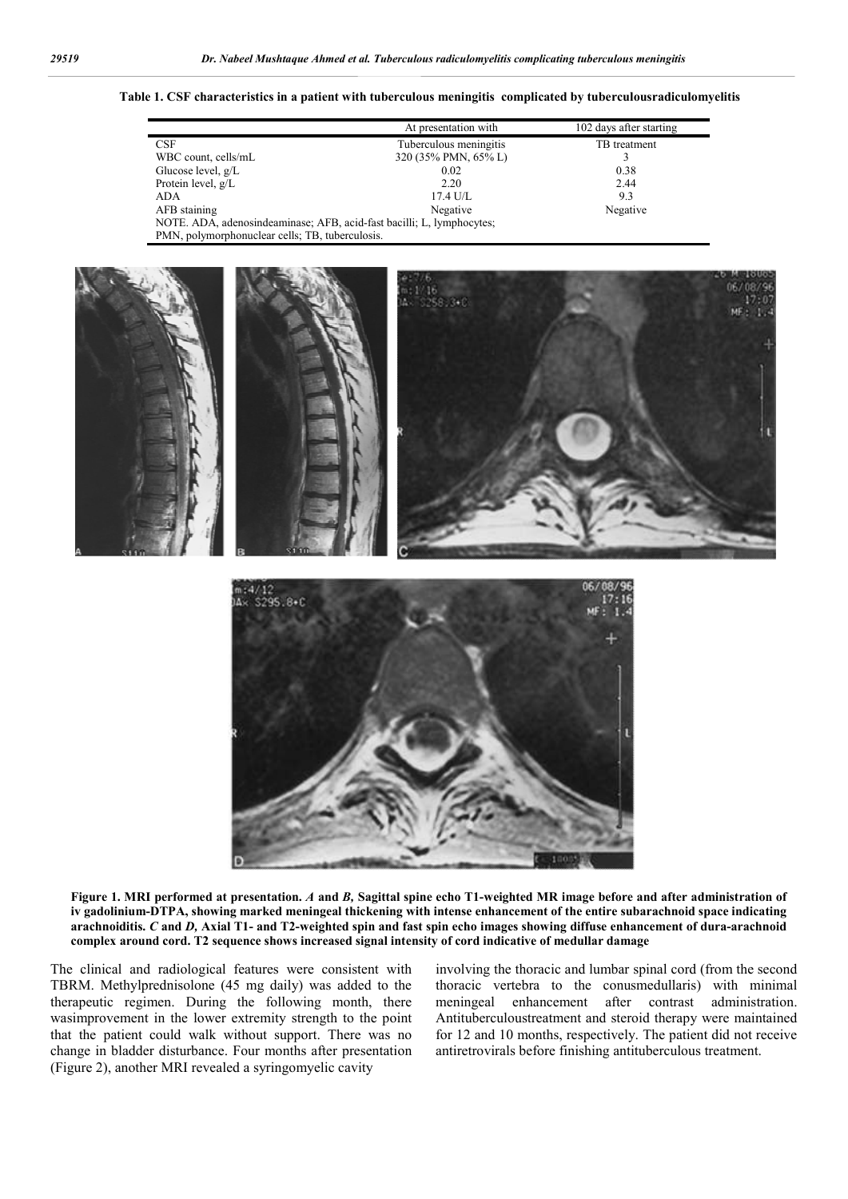#### **Table 1. CSF characteristics in a patient with tuberculous meningitis complicated by tuberculousradiculomyelitis**

|                                                                       | At presentation with   | 102 days after starting |  |  |
|-----------------------------------------------------------------------|------------------------|-------------------------|--|--|
| <b>CSF</b>                                                            | Tuberculous meningitis | TB treatment            |  |  |
| WBC count, cells/mL                                                   | 320 (35% PMN, 65% L)   |                         |  |  |
| Glucose level, $g/L$                                                  | 0.02                   | 0.38                    |  |  |
| Protein level, g/L                                                    | 2.20                   | 2.44                    |  |  |
| <b>ADA</b>                                                            | $17.4$ U/L             | 9.3                     |  |  |
| AFB staining                                                          | Negative               | Negative                |  |  |
| NOTE. ADA, adenosindeaminase; AFB, acid-fast bacilli; L, lymphocytes; |                        |                         |  |  |
| PMN, polymorphonuclear cells; TB, tuberculosis.                       |                        |                         |  |  |



**Figure 1. MRI performed at presentation.** *A* **and** *B,* **Sagittal spine echo T1-weighted MR image before and after administration of iv gadolinium-DTPA, showing marked meningeal thickening with intense enhancement of the entire subarachnoid space indicating arachnoiditis.** *C* **and** *D,* **Axial T1- and T2-weighted spin and fast spin echo images showing diffuse enhancement of dura-arachnoid complex around cord. T2 sequence shows increased signal intensity of cord indicative of medullar damage**

The clinical and radiological features were consistent with TBRM. Methylprednisolone (45 mg daily) was added to the therapeutic regimen. During the following month, there wasimprovement in the lower extremity strength to the point that the patient could walk without support. There was no change in bladder disturbance. Four months after presentation (Figure 2), another MRI revealed a syringomyelic cavity

involving the thoracic and lumbar spinal cord (from the second thoracic vertebra to the conusmedullaris) with minimal meningeal enhancement after contrast administration. Antituberculoustreatment and steroid therapy were maintained for 12 and 10 months, respectively. The patient did not receive antiretrovirals before finishing antituberculous treatment.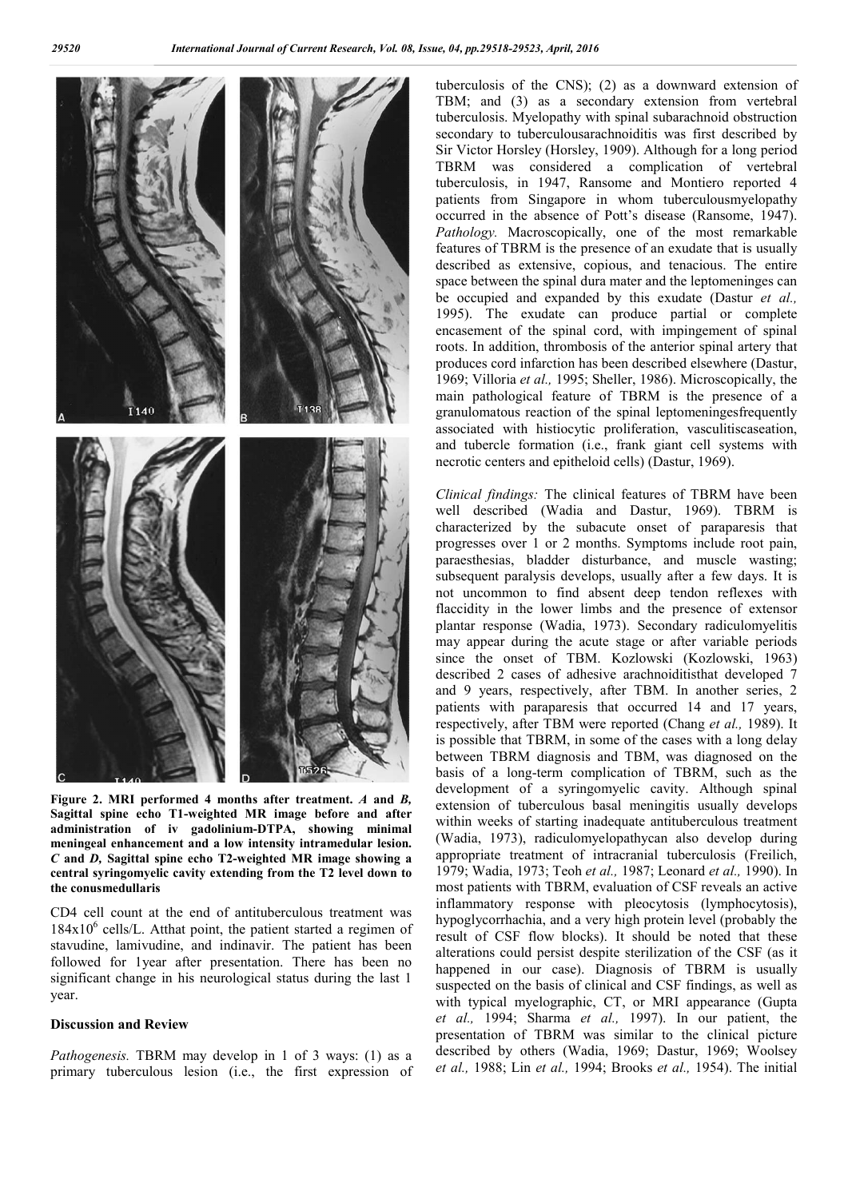

**Figure 2. MRI performed 4 months after treatment.** *A* **and** *B,*  **Sagittal spine echo T1-weighted MR image before and after administration of iv gadolinium-DTPA, showing minimal meningeal enhancement and a low intensity intramedular lesion.**  *C* **and** *D,* **Sagittal spine echo T2-weighted MR image showing a central syringomyelic cavity extending from the T2 level down to the conusmedullaris**

CD4 cell count at the end of antituberculous treatment was  $184x10^6$  cells/L. Atthat point, the patient started a regimen of stavudine, lamivudine, and indinavir. The patient has been followed for 1year after presentation. There has been no significant change in his neurological status during the last 1 year.

#### **Discussion and Review**

*Pathogenesis.* TBRM may develop in 1 of 3 ways: (1) as a primary tuberculous lesion (i.e., the first expression of tuberculosis of the CNS); (2) as a downward extension of TBM; and (3) as a secondary extension from vertebral tuberculosis. Myelopathy with spinal subarachnoid obstruction secondary to tuberculousarachnoiditis was first described by Sir Victor Horsley (Horsley, 1909). Although for a long period TBRM was considered a complication of vertebral tuberculosis, in 1947, Ransome and Montiero reported 4 patients from Singapore in whom tuberculousmyelopathy occurred in the absence of Pott's disease (Ransome, 1947). *Pathology.* Macroscopically, one of the most remarkable features of TBRM is the presence of an exudate that is usually described as extensive, copious, and tenacious. The entire space between the spinal dura mater and the leptomeninges can be occupied and expanded by this exudate (Dastur *et al.,*  1995). The exudate can produce partial or complete encasement of the spinal cord, with impingement of spinal roots. In addition, thrombosis of the anterior spinal artery that produces cord infarction has been described elsewhere (Dastur, 1969; Villoria *et al.,* 1995; Sheller, 1986). Microscopically, the main pathological feature of TBRM is the presence of a granulomatous reaction of the spinal leptomeningesfrequently associated with histiocytic proliferation, vasculitiscaseation, and tubercle formation (i.e., frank giant cell systems with necrotic centers and epitheloid cells) (Dastur, 1969).

*Clinical findings:* The clinical features of TBRM have been well described (Wadia and Dastur, 1969). TBRM is characterized by the subacute onset of paraparesis that progresses over 1 or 2 months. Symptoms include root pain, paraesthesias, bladder disturbance, and muscle wasting; subsequent paralysis develops, usually after a few days. It is not uncommon to find absent deep tendon reflexes with flaccidity in the lower limbs and the presence of extensor plantar response (Wadia, 1973). Secondary radiculomyelitis may appear during the acute stage or after variable periods since the onset of TBM. Kozlowski (Kozlowski, 1963) described 2 cases of adhesive arachnoiditisthat developed 7 and 9 years, respectively, after TBM. In another series, 2 patients with paraparesis that occurred 14 and 17 years, respectively, after TBM were reported (Chang *et al.,* 1989). It is possible that TBRM, in some of the cases with a long delay between TBRM diagnosis and TBM, was diagnosed on the basis of a long-term complication of TBRM, such as the development of a syringomyelic cavity. Although spinal extension of tuberculous basal meningitis usually develops within weeks of starting inadequate antituberculous treatment (Wadia, 1973), radiculomyelopathycan also develop during appropriate treatment of intracranial tuberculosis (Freilich, 1979; Wadia, 1973; Teoh *et al.,* 1987; Leonard *et al.,* 1990). In most patients with TBRM, evaluation of CSF reveals an active inflammatory response with pleocytosis (lymphocytosis), hypoglycorrhachia, and a very high protein level (probably the result of CSF flow blocks). It should be noted that these alterations could persist despite sterilization of the CSF (as it happened in our case). Diagnosis of TBRM is usually suspected on the basis of clinical and CSF findings, as well as with typical myelographic, CT, or MRI appearance (Gupta *et al.,* 1994; Sharma *et al.,* 1997). In our patient, the presentation of TBRM was similar to the clinical picture described by others (Wadia, 1969; Dastur, 1969; Woolsey *et al.,* 1988; Lin *et al.,* 1994; Brooks *et al.,* 1954). The initial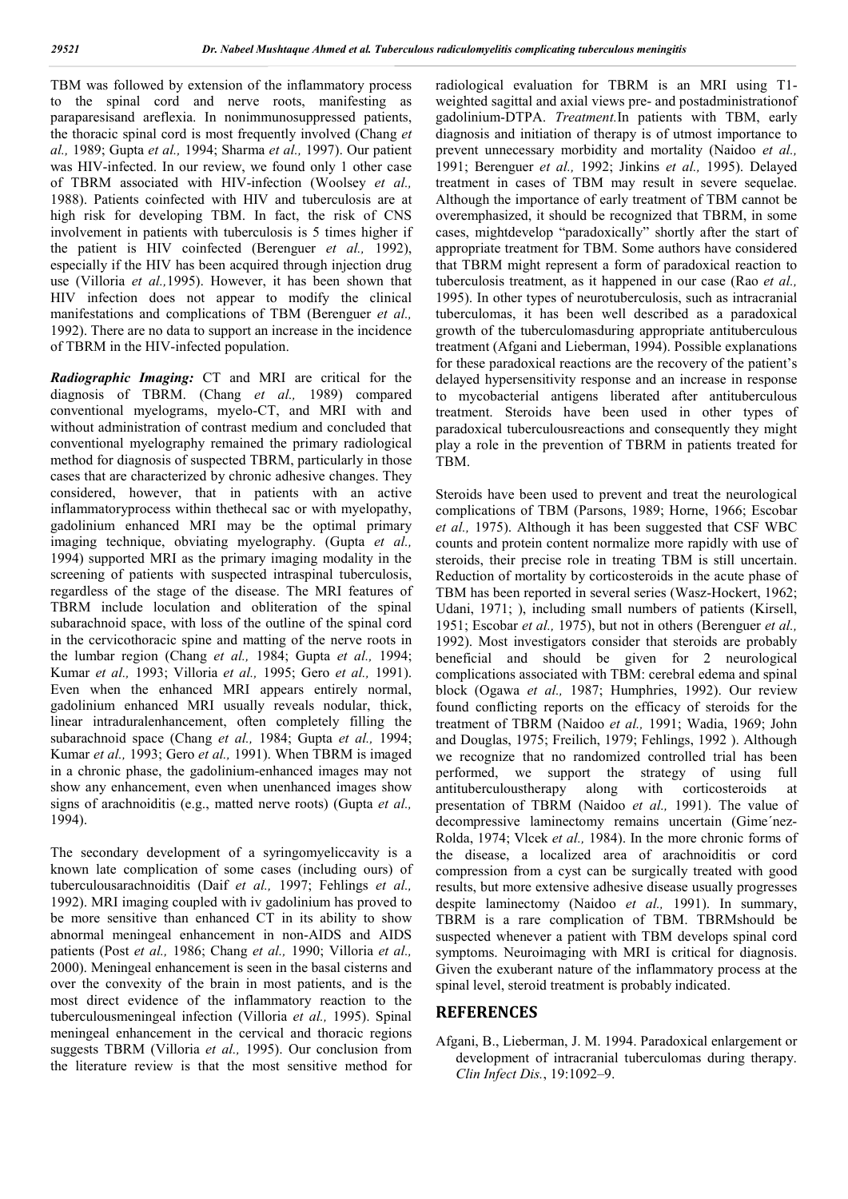TBM was followed by extension of the inflammatory process to the spinal cord and nerve roots, manifesting as paraparesisand areflexia. In nonimmunosuppressed patients, the thoracic spinal cord is most frequently involved (Chang *et al.,* 1989; Gupta *et al.,* 1994; Sharma *et al.,* 1997). Our patient was HIV-infected. In our review, we found only 1 other case of TBRM associated with HIV-infection (Woolsey *et al.,*  1988). Patients coinfected with HIV and tuberculosis are at high risk for developing TBM. In fact, the risk of CNS involvement in patients with tuberculosis is 5 times higher if the patient is HIV coinfected (Berenguer *et al.,* 1992), especially if the HIV has been acquired through injection drug use (Villoria *et al.,*1995). However, it has been shown that HIV infection does not appear to modify the clinical manifestations and complications of TBM (Berenguer *et al.,*  1992). There are no data to support an increase in the incidence of TBRM in the HIV-infected population.

*Radiographic Imaging:* CT and MRI are critical for the diagnosis of TBRM. (Chang *et al.,* 1989) compared conventional myelograms, myelo-CT, and MRI with and without administration of contrast medium and concluded that conventional myelography remained the primary radiological method for diagnosis of suspected TBRM, particularly in those cases that are characterized by chronic adhesive changes. They considered, however, that in patients with an active inflammatoryprocess within thethecal sac or with myelopathy, gadolinium enhanced MRI may be the optimal primary imaging technique, obviating myelography. (Gupta *et al.,* 1994) supported MRI as the primary imaging modality in the screening of patients with suspected intraspinal tuberculosis, regardless of the stage of the disease. The MRI features of TBRM include loculation and obliteration of the spinal subarachnoid space, with loss of the outline of the spinal cord in the cervicothoracic spine and matting of the nerve roots in the lumbar region (Chang *et al.,* 1984; Gupta *et al.,* 1994; Kumar *et al.,* 1993; Villoria *et al.,* 1995; Gero *et al.,* 1991). Even when the enhanced MRI appears entirely normal, gadolinium enhanced MRI usually reveals nodular, thick, linear intraduralenhancement, often completely filling the subarachnoid space (Chang *et al.,* 1984; Gupta *et al.,* 1994; Kumar *et al.,* 1993; Gero *et al.,* 1991). When TBRM is imaged in a chronic phase, the gadolinium-enhanced images may not show any enhancement, even when unenhanced images show signs of arachnoiditis (e.g., matted nerve roots) (Gupta *et al.,*  1994).

The secondary development of a syringomyeliccavity is a known late complication of some cases (including ours) of tuberculousarachnoiditis (Daif *et al.,* 1997; Fehlings *et al.,*  1992). MRI imaging coupled with iv gadolinium has proved to be more sensitive than enhanced CT in its ability to show abnormal meningeal enhancement in non-AIDS and AIDS patients (Post *et al.,* 1986; Chang *et al.,* 1990; Villoria *et al.,* 2000). Meningeal enhancement is seen in the basal cisterns and over the convexity of the brain in most patients, and is the most direct evidence of the inflammatory reaction to the tuberculousmeningeal infection (Villoria *et al.,* 1995). Spinal meningeal enhancement in the cervical and thoracic regions suggests TBRM (Villoria *et al.,* 1995). Our conclusion from the literature review is that the most sensitive method for radiological evaluation for TBRM is an MRI using T1 weighted sagittal and axial views pre- and postadministrationof gadolinium-DTPA. *Treatment.*In patients with TBM, early diagnosis and initiation of therapy is of utmost importance to prevent unnecessary morbidity and mortality (Naidoo *et al.,*  1991; Berenguer *et al.,* 1992; Jinkins *et al.,* 1995). Delayed treatment in cases of TBM may result in severe sequelae. Although the importance of early treatment of TBM cannot be overemphasized, it should be recognized that TBRM, in some cases, mightdevelop "paradoxically" shortly after the start of appropriate treatment for TBM. Some authors have considered that TBRM might represent a form of paradoxical reaction to tuberculosis treatment, as it happened in our case (Rao *et al.,*  1995). In other types of neurotuberculosis, such as intracranial tuberculomas, it has been well described as a paradoxical growth of the tuberculomasduring appropriate antituberculous treatment (Afgani and Lieberman, 1994). Possible explanations for these paradoxical reactions are the recovery of the patient's delayed hypersensitivity response and an increase in response to mycobacterial antigens liberated after antituberculous treatment. Steroids have been used in other types of paradoxical tuberculousreactions and consequently they might play a role in the prevention of TBRM in patients treated for TBM.

Steroids have been used to prevent and treat the neurological complications of TBM (Parsons, 1989; Horne, 1966; Escobar *et al.,* 1975). Although it has been suggested that CSF WBC counts and protein content normalize more rapidly with use of steroids, their precise role in treating TBM is still uncertain. Reduction of mortality by corticosteroids in the acute phase of TBM has been reported in several series (Wasz-Hockert, 1962; Udani, 1971; ), including small numbers of patients (Kirsell, 1951; Escobar *et al.,* 1975), but not in others (Berenguer *et al.,*  1992). Most investigators consider that steroids are probably beneficial and should be given for 2 neurological complications associated with TBM: cerebral edema and spinal block (Ogawa *et al.,* 1987; Humphries, 1992). Our review found conflicting reports on the efficacy of steroids for the treatment of TBRM (Naidoo *et al.,* 1991; Wadia, 1969; John and Douglas, 1975; Freilich, 1979; Fehlings, 1992 ). Although we recognize that no randomized controlled trial has been performed, we support the strategy of using full antituberculoustherapy along with corticosteroids at antituberculoustherapy along with corticosteroids at presentation of TBRM (Naidoo *et al.,* 1991). The value of decompressive laminectomy remains uncertain (Gime´nez-Rolda, 1974; Vlcek *et al.,* 1984). In the more chronic forms of the disease, a localized area of arachnoiditis or cord compression from a cyst can be surgically treated with good results, but more extensive adhesive disease usually progresses despite laminectomy (Naidoo *et al.,* 1991). In summary, TBRM is a rare complication of TBM. TBRMshould be suspected whenever a patient with TBM develops spinal cord symptoms. Neuroimaging with MRI is critical for diagnosis. Given the exuberant nature of the inflammatory process at the spinal level, steroid treatment is probably indicated.

#### **REFERENCES**

Afgani, B., Lieberman, J. M. 1994. Paradoxical enlargement or development of intracranial tuberculomas during therapy. *Clin Infect Dis.*, 19:1092–9.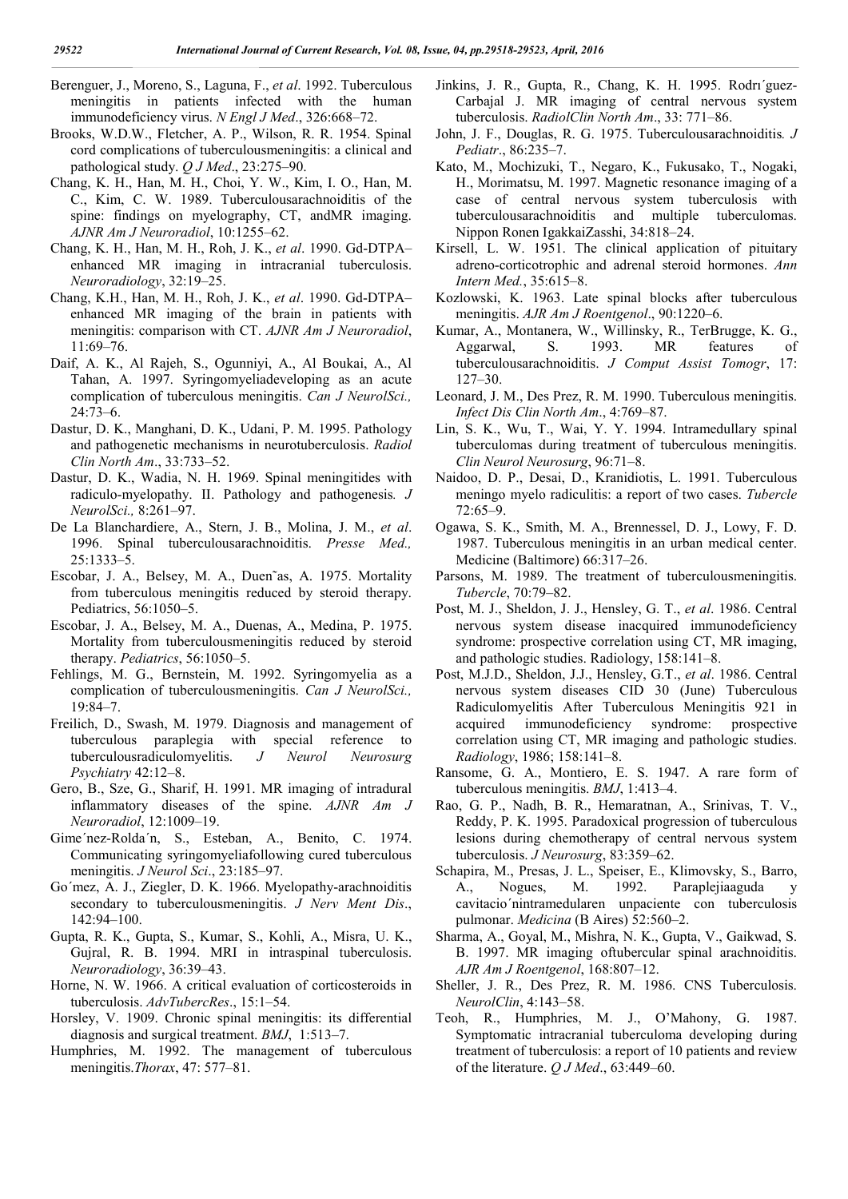- Berenguer, J., Moreno, S., Laguna, F., *et al*. 1992. Tuberculous meningitis in patients infected with the human immunodeficiency virus. *N Engl J Med*., 326:668–72.
- Brooks, W.D.W., Fletcher, A. P., Wilson, R. R. 1954. Spinal cord complications of tuberculousmeningitis: a clinical and pathological study. *Q J Med*., 23:275–90.
- Chang, K. H., Han, M. H., Choi, Y. W., Kim, I. O., Han, M. C., Kim, C. W. 1989. Tuberculousarachnoiditis of the spine: findings on myelography, CT, andMR imaging. *AJNR Am J Neuroradiol*, 10:1255–62.
- Chang, K. H., Han, M. H., Roh, J. K., *et al*. 1990. Gd-DTPA– enhanced MR imaging in intracranial tuberculosis. *Neuroradiology*, 32:19–25.
- Chang, K.H., Han, M. H., Roh, J. K., *et al*. 1990. Gd-DTPA– enhanced MR imaging of the brain in patients with meningitis: comparison with CT. *AJNR Am J Neuroradiol*, 11:69–76.
- Daif, A. K., Al Rajeh, S., Ogunniyi, A., Al Boukai, A., Al Tahan, A. 1997. Syringomyeliadeveloping as an acute complication of tuberculous meningitis. *Can J NeurolSci.,* 24:73–6.
- Dastur, D. K., Manghani, D. K., Udani, P. M. 1995. Pathology and pathogenetic mechanisms in neurotuberculosis. *Radiol Clin North Am*., 33:733–52.
- Dastur, D. K., Wadia, N. H. 1969. Spinal meningitides with radiculo-myelopathy. II. Pathology and pathogenesis*. J NeurolSci.,* 8:261–97.
- De La Blanchardiere, A., Stern, J. B., Molina, J. M., *et al*. 1996. Spinal tuberculousarachnoiditis. *Presse Med.,* 25:1333–5.
- Escobar, J. A., Belsey, M. A., Duen˜as, A. 1975. Mortality from tuberculous meningitis reduced by steroid therapy. Pediatrics, 56:1050–5.
- Escobar, J. A., Belsey, M. A., Duenas, A., Medina, P. 1975. Mortality from tuberculousmeningitis reduced by steroid therapy. *Pediatrics*, 56:1050–5.
- Fehlings, M. G., Bernstein, M. 1992. Syringomyelia as a complication of tuberculousmeningitis. *Can J NeurolSci.,* 19:84–7.
- Freilich, D., Swash, M. 1979. Diagnosis and management of tuberculous paraplegia with special reference to tuberculousradiculomyelitis. *J Neurol Neurosurg Psychiatry* 42:12–8.
- Gero, B., Sze, G., Sharif, H. 1991. MR imaging of intradural inflammatory diseases of the spine. *AJNR Am J Neuroradiol*, 12:1009–19.
- Gime´nez-Rolda´n, S., Esteban, A., Benito, C. 1974. Communicating syringomyeliafollowing cured tuberculous meningitis. *J Neurol Sci*., 23:185–97.
- Go´mez, A. J., Ziegler, D. K. 1966. Myelopathy-arachnoiditis secondary to tuberculousmeningitis. *J Nerv Ment Dis*., 142:94–100.
- Gupta, R. K., Gupta, S., Kumar, S., Kohli, A., Misra, U. K., Gujral, R. B. 1994. MRI in intraspinal tuberculosis. *Neuroradiology*, 36:39–43.
- Horne, N. W. 1966. A critical evaluation of corticosteroids in tuberculosis. *AdvTubercRes*., 15:1–54.
- Horsley, V. 1909. Chronic spinal meningitis: its differential diagnosis and surgical treatment. *BMJ*, 1:513–7.
- Humphries, M. 1992. The management of tuberculous meningitis.*Thorax*, 47: 577–81.
- Jinkins, J. R., Gupta, R., Chang, K. H. 1995. Rodrı´guez-Carbajal J. MR imaging of central nervous system tuberculosis. *RadiolClin North Am*., 33: 771–86.
- John, J. F., Douglas, R. G. 1975. Tuberculousarachnoiditis*. J Pediatr*., 86:235–7.
- Kato, M., Mochizuki, T., Negaro, K., Fukusako, T., Nogaki, H., Morimatsu, M. 1997. Magnetic resonance imaging of a case of central nervous system tuberculosis with tuberculousarachnoiditis and multiple tuberculomas. Nippon Ronen IgakkaiZasshi, 34:818–24.
- Kirsell, L. W. 1951. The clinical application of pituitary adreno-corticotrophic and adrenal steroid hormones. *Ann Intern Med.*, 35:615–8.
- Kozlowski, K. 1963. Late spinal blocks after tuberculous meningitis. *AJR Am J Roentgenol*., 90:1220–6.
- Kumar, A., Montanera, W., Willinsky, R., TerBrugge, K. G., Aggarwal, S. 1993. MR features of tuberculousarachnoiditis. *J Comput Assist Tomogr*, 17: 127–30.
- Leonard, J. M., Des Prez, R. M. 1990. Tuberculous meningitis. *Infect Dis Clin North Am*., 4:769–87.
- Lin, S. K., Wu, T., Wai, Y. Y. 1994. Intramedullary spinal tuberculomas during treatment of tuberculous meningitis. *Clin Neurol Neurosurg*, 96:71–8.
- Naidoo, D. P., Desai, D., Kranidiotis, L. 1991. Tuberculous meningo myelo radiculitis: a report of two cases. *Tubercle* 72:65–9.
- Ogawa, S. K., Smith, M. A., Brennessel, D. J., Lowy, F. D. 1987. Tuberculous meningitis in an urban medical center. Medicine (Baltimore) 66:317–26.
- Parsons, M. 1989. The treatment of tuberculousmeningitis. *Tubercle*, 70:79–82.
- Post, M. J., Sheldon, J. J., Hensley, G. T., *et al*. 1986. Central nervous system disease inacquired immunodeficiency syndrome: prospective correlation using CT, MR imaging, and pathologic studies. Radiology, 158:141–8.
- Post, M.J.D., Sheldon, J.J., Hensley, G.T., *et al*. 1986. Central nervous system diseases CID 30 (June) Tuberculous Radiculomyelitis After Tuberculous Meningitis 921 in acquired immunodeficiency syndrome: prospective correlation using CT, MR imaging and pathologic studies. *Radiology*, 1986; 158:141–8.
- Ransome, G. A., Montiero, E. S. 1947. A rare form of tuberculous meningitis. *BMJ*, 1:413–4.
- Rao, G. P., Nadh, B. R., Hemaratnan, A., Srinivas, T. V., Reddy, P. K. 1995. Paradoxical progression of tuberculous lesions during chemotherapy of central nervous system tuberculosis. *J Neurosurg*, 83:359–62.
- Schapira, M., Presas, J. L., Speiser, E., Klimovsky, S., Barro, A., Nogues, M. 1992. Paraplejiaaguda y cavitacio´nintramedularen unpaciente con tuberculosis pulmonar. *Medicina* (B Aires) 52:560–2.
- Sharma, A., Goyal, M., Mishra, N. K., Gupta, V., Gaikwad, S. B. 1997. MR imaging oftubercular spinal arachnoiditis. *AJR Am J Roentgenol*, 168:807–12.
- Sheller, J. R., Des Prez, R. M. 1986. CNS Tuberculosis. *NeurolClin*, 4:143–58.
- Teoh, R., Humphries, M. J., O'Mahony, G. 1987. Symptomatic intracranial tuberculoma developing during treatment of tuberculosis: a report of 10 patients and review of the literature. *Q J Med*., 63:449–60.